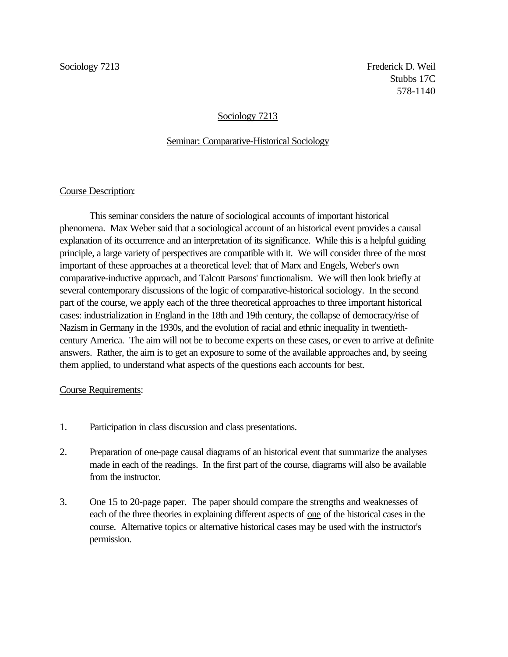# Sociology 7213

### Seminar: Comparative-Historical Sociology

### Course Description:

This seminar considers the nature of sociological accounts of important historical phenomena. Max Weber said that a sociological account of an historical event provides a causal explanation of its occurrence and an interpretation of its significance. While this is a helpful guiding principle, a large variety of perspectives are compatible with it. We will consider three of the most important of these approaches at a theoretical level: that of Marx and Engels, Weber's own comparative-inductive approach, and Talcott Parsons' functionalism. We will then look briefly at several contemporary discussions of the logic of comparative-historical sociology. In the second part of the course, we apply each of the three theoretical approaches to three important historical cases: industrialization in England in the 18th and 19th century, the collapse of democracy/rise of Nazism in Germany in the 1930s, and the evolution of racial and ethnic inequality in twentiethcentury America. The aim will not be to become experts on these cases, or even to arrive at definite answers. Rather, the aim is to get an exposure to some of the available approaches and, by seeing them applied, to understand what aspects of the questions each accounts for best.

# Course Requirements:

- 1. Participation in class discussion and class presentations.
- 2. Preparation of one-page causal diagrams of an historical event that summarize the analyses made in each of the readings. In the first part of the course, diagrams will also be available from the instructor.
- 3. One 15 to 20-page paper. The paper should compare the strengths and weaknesses of each of the three theories in explaining different aspects of <u>one</u> of the historical cases in the course. Alternative topics or alternative historical cases may be used with the instructor's permission.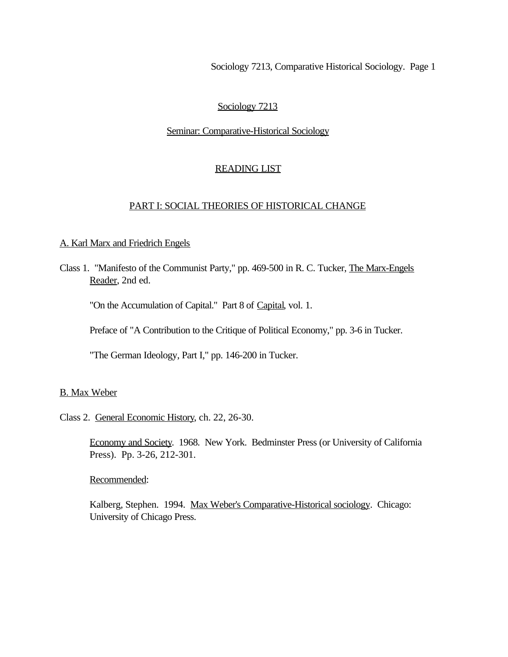# Sociology 7213

#### Seminar: Comparative-Historical Sociology

### READING LIST

#### PART I: SOCIAL THEORIES OF HISTORICAL CHANGE

#### A. Karl Marx and Friedrich Engels

Class 1. "Manifesto of the Communist Party," pp. 469-500 in R. C. Tucker, The Marx-Engels Reader, 2nd ed.

"On the Accumulation of Capital." Part 8 of Capital, vol. 1.

Preface of "A Contribution to the Critique of Political Economy," pp. 3-6 in Tucker.

"The German Ideology, Part I," pp. 146-200 in Tucker.

### B. Max Weber

# Class 2. General Economic History, ch. 22, 26-30.

Economy and Society. 1968. New York. Bedminster Press (or University of California Press). Pp. 3-26, 212-301.

Recommended:

Kalberg, Stephen. 1994. Max Weber's Comparative-Historical sociology. Chicago: University of Chicago Press.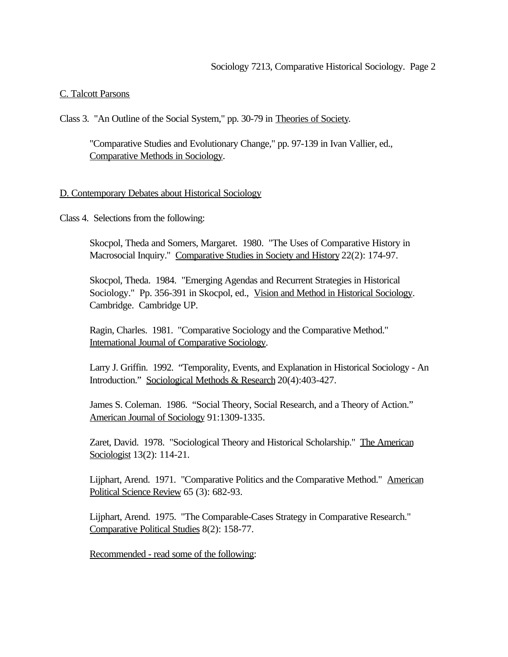### C. Talcott Parsons

Class 3. "An Outline of the Social System," pp. 30-79 in Theories of Society.

"Comparative Studies and Evolutionary Change," pp. 97-139 in Ivan Vallier, ed., Comparative Methods in Sociology.

### D. Contemporary Debates about Historical Sociology

Class 4. Selections from the following:

Skocpol, Theda and Somers, Margaret. 1980. "The Uses of Comparative History in Macrosocial Inquiry." Comparative Studies in Society and History 22(2): 174-97.

Skocpol, Theda. 1984. "Emerging Agendas and Recurrent Strategies in Historical Sociology." Pp. 356-391 in Skocpol, ed., Vision and Method in Historical Sociology. Cambridge. Cambridge UP.

Ragin, Charles. 1981. "Comparative Sociology and the Comparative Method." International Journal of Comparative Sociology.

Larry J. Griffin. 1992. "Temporality, Events, and Explanation in Historical Sociology - An Introduction." Sociological Methods & Research 20(4):403-427.

James S. Coleman. 1986. "Social Theory, Social Research, and a Theory of Action." American Journal of Sociology 91:1309-1335.

Zaret, David. 1978. "Sociological Theory and Historical Scholarship." The American Sociologist 13(2): 114-21.

Lijphart, Arend. 1971. "Comparative Politics and the Comparative Method." American Political Science Review 65 (3): 682-93.

Lijphart, Arend. 1975. "The Comparable-Cases Strategy in Comparative Research." Comparative Political Studies 8(2): 158-77.

Recommended - read some of the following: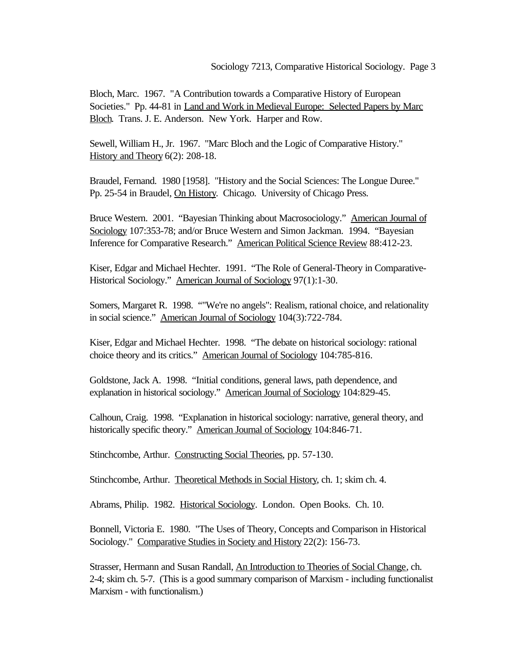Bloch, Marc. 1967. "A Contribution towards a Comparative History of European Societies." Pp. 44-81 in Land and Work in Medieval Europe: Selected Papers by Marc Bloch. Trans. J. E. Anderson. New York. Harper and Row.

Sewell, William H., Jr. 1967. "Marc Bloch and the Logic of Comparative History." History and Theory 6(2): 208-18.

Braudel, Fernand. 1980 [1958]. "History and the Social Sciences: The Longue Duree." Pp. 25-54 in Braudel, On History. Chicago. University of Chicago Press.

Bruce Western. 2001. "Bayesian Thinking about Macrosociology." American Journal of Sociology 107:353-78; and/or Bruce Western and Simon Jackman. 1994. "Bayesian Inference for Comparative Research." American Political Science Review 88:412-23.

Kiser, Edgar and Michael Hechter. 1991. "The Role of General-Theory in Comparative-Historical Sociology." American Journal of Sociology 97(1):1-30.

Somers, Margaret R. 1998. ""We're no angels": Realism, rational choice, and relationality in social science." American Journal of Sociology 104(3):722-784.

Kiser, Edgar and Michael Hechter. 1998. "The debate on historical sociology: rational choice theory and its critics." American Journal of Sociology 104:785-816.

Goldstone, Jack A. 1998. "Initial conditions, general laws, path dependence, and explanation in historical sociology." American Journal of Sociology 104:829-45.

Calhoun, Craig. 1998. "Explanation in historical sociology: narrative, general theory, and historically specific theory." American Journal of Sociology 104:846-71.

Stinchcombe, Arthur. Constructing Social Theories, pp. 57-130.

Stinchcombe, Arthur. Theoretical Methods in Social History, ch. 1; skim ch. 4.

Abrams, Philip. 1982. Historical Sociology. London. Open Books. Ch. 10.

Bonnell, Victoria E. 1980. "The Uses of Theory, Concepts and Comparison in Historical Sociology." Comparative Studies in Society and History 22(2): 156-73.

Strasser, Hermann and Susan Randall, An Introduction to Theories of Social Change, ch. 2-4; skim ch. 5-7. (This is a good summary comparison of Marxism - including functionalist Marxism - with functionalism.)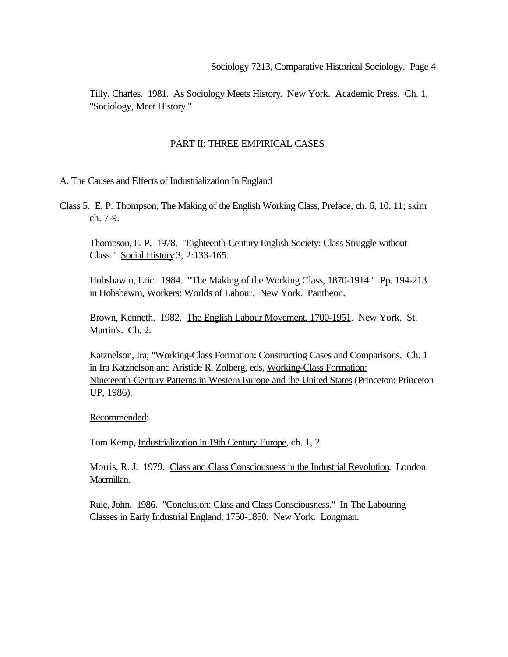Tilly, Charles. 1981. As Sociology Meets History. New York. Academic Press. Ch. 1, "Sociology, Meet History."

# PART II: THREE EMPIRICAL CASES

### A. The Causes and Effects of Industrialization In England

Class 5. E. P. Thompson, The Making of the English Working Class, Preface, ch. 6, 10, 11; skim ch. 7-9.

Thompson, E. P. 1978. "Eighteenth-Century English Society: Class Struggle without Class." Social History 3, 2:133-165.

Hobsbawm, Eric. 1984. "The Making of the Working Class, 1870-1914." Pp. 194-213 in Hobsbawm, Workers: Worlds of Labour. New York. Pantheon.

Brown, Kenneth. 1982. The English Labour Movement, 1700-1951. New York. St. Martin's. Ch. 2.

Katznelson, Ira, "Working-Class Formation: Constructing Cases and Comparisons. Ch. 1 in Ira Katznelson and Aristide R. Zolberg, eds, Working-Class Formation: Nineteenth-Century Patterns in Western Europe and the United States (Princeton: Princeton UP, 1986).

Recommended:

Tom Kemp, Industrialization in 19th Century Europe, ch. 1, 2.

Morris, R. J. 1979. Class and Class Consciousness in the Industrial Revolution. London. Macmillan.

Rule, John. 1986. "Conclusion: Class and Class Consciousness." In The Labouring Classes in Early Industrial England, 1750-1850. New York. Longman.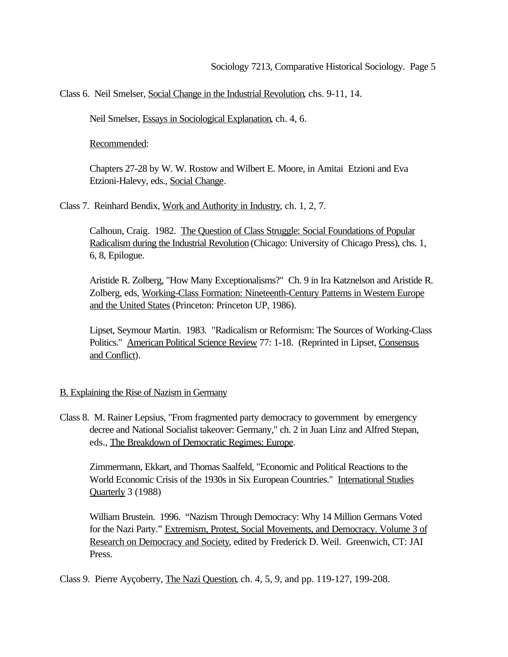Class 6. Neil Smelser, Social Change in the Industrial Revolution, chs. 9-11, 14.

Neil Smelser, Essays in Sociological Explanation, ch. 4, 6.

Recommended:

Chapters 27-28 by W. W. Rostow and Wilbert E. Moore, in Amitai Etzioni and Eva Etzioni-Halevy, eds., Social Change.

Class 7. Reinhard Bendix, Work and Authority in Industry, ch. 1, 2, 7.

Calhoun, Craig. 1982. The Question of Class Struggle: Social Foundations of Popular Radicalism during the Industrial Revolution (Chicago: University of Chicago Press), chs. 1, 6, 8, Epilogue.

Aristide R. Zolberg, "How Many Exceptionalisms?" Ch. 9 in Ira Katznelson and Aristide R. Zolberg, eds, Working-Class Formation: Nineteenth-Century Patterns in Western Europe and the United States (Princeton: Princeton UP, 1986).

Lipset, Seymour Martin. 1983. "Radicalism or Reformism: The Sources of Working-Class Politics." American Political Science Review 77: 1-18. (Reprinted in Lipset, Consensus and Conflict).

### B. Explaining the Rise of Nazism in Germany

Class 8. M. Rainer Lepsius, "From fragmented party democracy to government by emergency decree and National Socialist takeover: Germany," ch. 2 in Juan Linz and Alfred Stepan, eds., The Breakdown of Democratic Regimes: Europe.

Zimmermann, Ekkart, and Thomas Saalfeld, "Economic and Political Reactions to the World Economic Crisis of the 1930s in Six European Countries." International Studies Quarterly 3 (1988)

William Brustein. 1996. "Nazism Through Democracy: Why 14 Million Germans Voted for the Nazi Party." Extremism, Protest, Social Movements, and Democracy. Volume 3 of Research on Democracy and Society, edited by Frederick D. Weil. Greenwich, CT: JAI Press.

Class 9. Pierre Ayçoberry, The Nazi Question, ch. 4, 5, 9, and pp. 119-127, 199-208.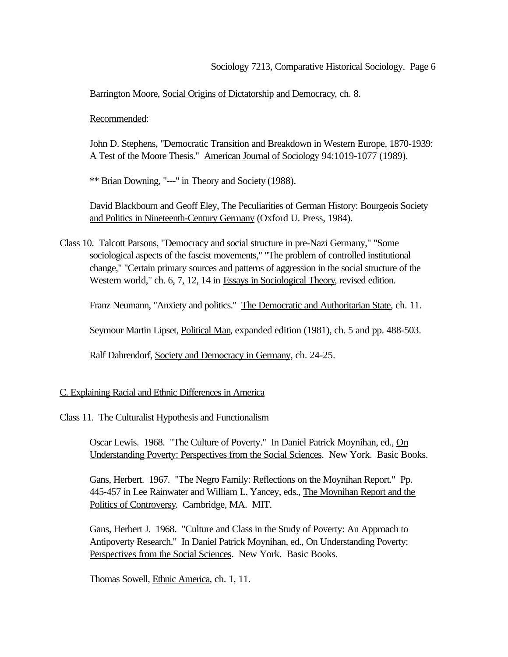Barrington Moore, Social Origins of Dictatorship and Democracy, ch. 8.

Recommended:

John D. Stephens, "Democratic Transition and Breakdown in Western Europe, 1870-1939: A Test of the Moore Thesis." American Journal of Sociology 94:1019-1077 (1989).

\*\* Brian Downing, "---" in Theory and Society (1988).

David Blackbourn and Geoff Eley, The Peculiarities of German History: Bourgeois Society and Politics in Nineteenth-Century Germany (Oxford U. Press, 1984).

Class 10. Talcott Parsons, "Democracy and social structure in pre-Nazi Germany," "Some sociological aspects of the fascist movements," "The problem of controlled institutional change," "Certain primary sources and patterns of aggression in the social structure of the Western world," ch. 6, 7, 12, 14 in Essays in Sociological Theory, revised edition.

Franz Neumann, "Anxiety and politics." The Democratic and Authoritarian State, ch. 11.

Seymour Martin Lipset, Political Man, expanded edition (1981), ch. 5 and pp. 488-503.

Ralf Dahrendorf, Society and Democracy in Germany, ch. 24-25.

C. Explaining Racial and Ethnic Differences in America

Class 11. The Culturalist Hypothesis and Functionalism

Oscar Lewis. 1968. "The Culture of Poverty." In Daniel Patrick Moynihan, ed., On Understanding Poverty: Perspectives from the Social Sciences. New York. Basic Books.

Gans, Herbert. 1967. "The Negro Family: Reflections on the Moynihan Report." Pp. 445-457 in Lee Rainwater and William L. Yancey, eds., The Moynihan Report and the Politics of Controversy. Cambridge, MA. MIT.

Gans, Herbert J. 1968. "Culture and Class in the Study of Poverty: An Approach to Antipoverty Research." In Daniel Patrick Moynihan, ed., On Understanding Poverty: Perspectives from the Social Sciences. New York. Basic Books.

Thomas Sowell, Ethnic America, ch. 1, 11.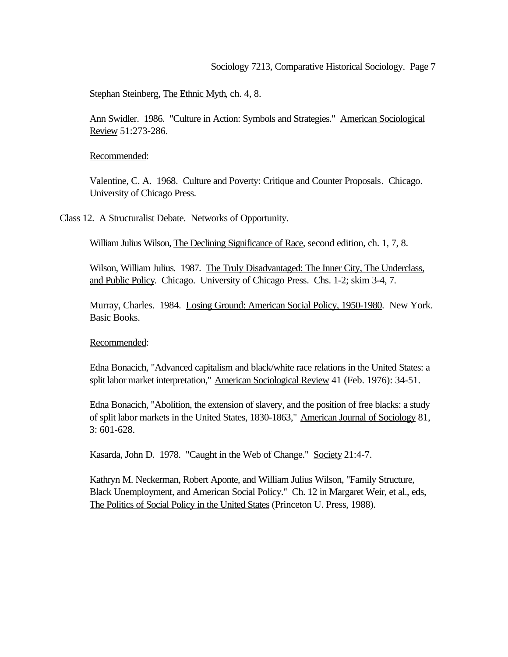Stephan Steinberg, The Ethnic Myth, ch. 4, 8.

Ann Swidler. 1986. "Culture in Action: Symbols and Strategies." American Sociological Review 51:273-286.

Recommended:

Valentine, C. A. 1968. Culture and Poverty: Critique and Counter Proposals. Chicago. University of Chicago Press.

Class 12. A Structuralist Debate. Networks of Opportunity.

William Julius Wilson, The Declining Significance of Race, second edition, ch. 1, 7, 8.

Wilson, William Julius. 1987. The Truly Disadvantaged: The Inner City, The Underclass, and Public Policy. Chicago. University of Chicago Press. Chs. 1-2; skim 3-4, 7.

Murray, Charles. 1984. Losing Ground: American Social Policy, 1950-1980. New York. Basic Books.

Recommended:

Edna Bonacich, "Advanced capitalism and black/white race relations in the United States: a split labor market interpretation," American Sociological Review 41 (Feb. 1976): 34-51.

Edna Bonacich, "Abolition, the extension of slavery, and the position of free blacks: a study of split labor markets in the United States, 1830-1863," American Journal of Sociology 81, 3: 601-628.

Kasarda, John D. 1978. "Caught in the Web of Change." Society 21:4-7.

Kathryn M. Neckerman, Robert Aponte, and William Julius Wilson, "Family Structure, Black Unemployment, and American Social Policy." Ch. 12 in Margaret Weir, et al., eds, The Politics of Social Policy in the United States (Princeton U. Press, 1988).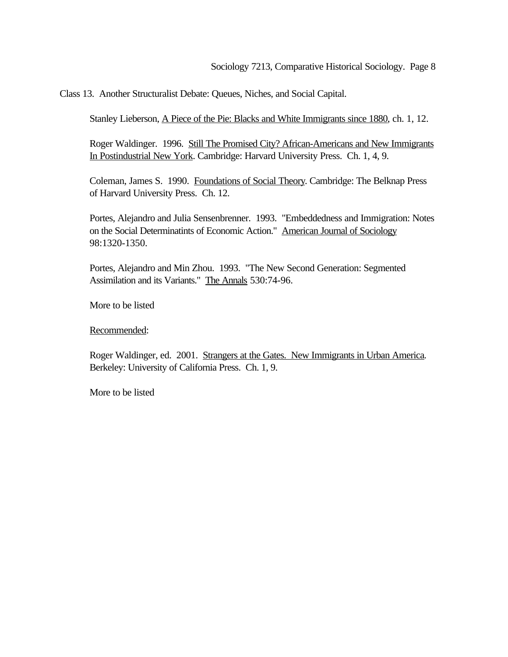Class 13. Another Structuralist Debate: Queues, Niches, and Social Capital.

Stanley Lieberson, A Piece of the Pie: Blacks and White Immigrants since 1880, ch. 1, 12.

Roger Waldinger. 1996. Still The Promised City? African-Americans and New Immigrants In Postindustrial New York. Cambridge: Harvard University Press. Ch. 1, 4, 9.

Coleman, James S. 1990. Foundations of Social Theory. Cambridge: The Belknap Press of Harvard University Press. Ch. 12.

Portes, Alejandro and Julia Sensenbrenner. 1993. "Embeddedness and Immigration: Notes on the Social Determinatints of Economic Action." American Journal of Sociology 98:1320-1350.

Portes, Alejandro and Min Zhou. 1993. "The New Second Generation: Segmented Assimilation and its Variants." The Annals 530:74-96.

More to be listed

Recommended:

Roger Waldinger, ed. 2001. Strangers at the Gates. New Immigrants in Urban America*.*  Berkeley: University of California Press. Ch. 1, 9.

More to be listed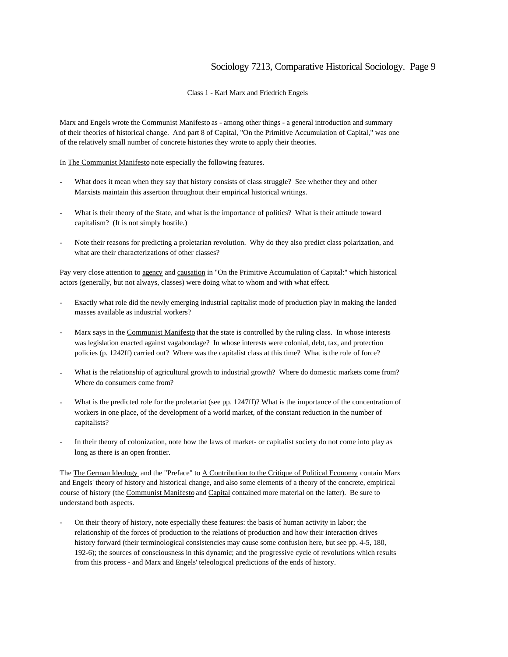Class 1 - Karl Marx and Friedrich Engels

Marx and Engels wrote the Communist Manifesto as - among other things - a general introduction and summary of their theories of historical change. And part 8 of Capital, "On the Primitive Accumulation of Capital," was one of the relatively small number of concrete histories they wrote to apply their theories.

In The Communist Manifesto note especially the following features.

- What does it mean when they say that history consists of class struggle? See whether they and other Marxists maintain this assertion throughout their empirical historical writings.
- What is their theory of the State, and what is the importance of politics? What is their attitude toward capitalism? (It is not simply hostile.)
- Note their reasons for predicting a proletarian revolution. Why do they also predict class polarization, and what are their characterizations of other classes?

Pay very close attention to agency and causation in "On the Primitive Accumulation of Capital:" which historical actors (generally, but not always, classes) were doing what to whom and with what effect.

- Exactly what role did the newly emerging industrial capitalist mode of production play in making the landed masses available as industrial workers?
- Marx says in the Communist Manifesto that the state is controlled by the ruling class. In whose interests was legislation enacted against vagabondage? In whose interests were colonial, debt, tax, and protection policies (p. 1242ff) carried out? Where was the capitalist class at this time? What is the role of force?
- What is the relationship of agricultural growth to industrial growth? Where do domestic markets come from? Where do consumers come from?
- What is the predicted role for the proletariat (see pp. 1247ff)? What is the importance of the concentration of workers in one place, of the development of a world market, of the constant reduction in the number of capitalists?
- In their theory of colonization, note how the laws of market- or capitalist society do not come into play as long as there is an open frontier.

The The German Ideology and the "Preface" to A Contribution to the Critique of Political Economy contain Marx and Engels' theory of history and historical change, and also some elements of a theory of the concrete, empirical course of history (the Communist Manifesto and Capital contained more material on the latter). Be sure to understand both aspects.

- On their theory of history, note especially these features: the basis of human activity in labor; the relationship of the forces of production to the relations of production and how their interaction drives history forward (their terminological consistencies may cause some confusion here, but see pp. 4-5, 180, 192-6); the sources of consciousness in this dynamic; and the progressive cycle of revolutions which results from this process - and Marx and Engels' teleological predictions of the ends of history.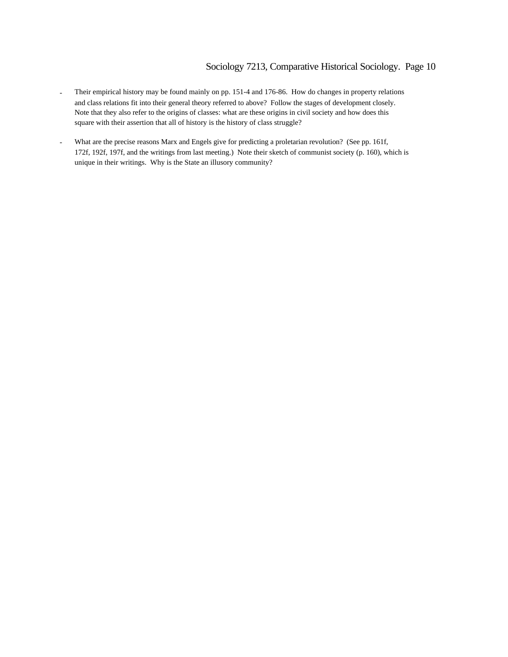- Their empirical history may be found mainly on pp. 151-4 and 176-86. How do changes in property relations and class relations fit into their general theory referred to above? Follow the stages of development closely. Note that they also refer to the origins of classes: what are these origins in civil society and how does this square with their assertion that all of history is the history of class struggle?
- What are the precise reasons Marx and Engels give for predicting a proletarian revolution? (See pp. 161f, 172f, 192f, 197f, and the writings from last meeting.) Note their sketch of communist society (p. 160), which is unique in their writings. Why is the State an illusory community?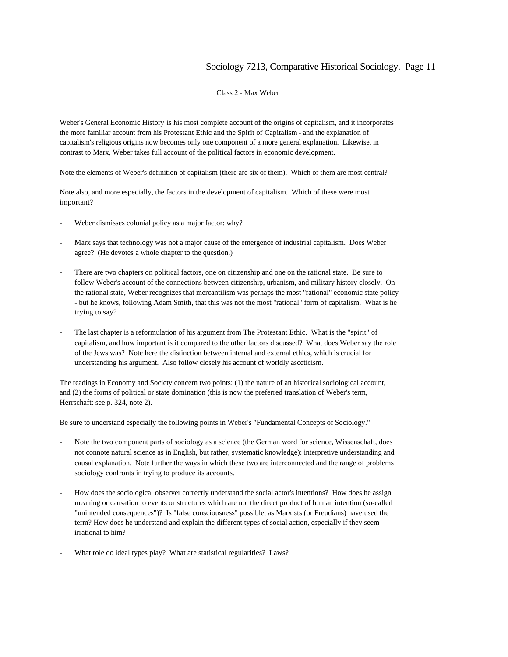Class 2 - Max Weber

Weber's General Economic History is his most complete account of the origins of capitalism, and it incorporates the more familiar account from his Protestant Ethic and the Spirit of Capitalism - and the explanation of capitalism's religious origins now becomes only one component of a more general explanation. Likewise, in contrast to Marx, Weber takes full account of the political factors in economic development.

Note the elements of Weber's definition of capitalism (there are six of them). Which of them are most central?

Note also, and more especially, the factors in the development of capitalism. Which of these were most important?

- Weber dismisses colonial policy as a major factor: why?
- Marx says that technology was not a major cause of the emergence of industrial capitalism. Does Weber agree? (He devotes a whole chapter to the question.)
- There are two chapters on political factors, one on citizenship and one on the rational state. Be sure to follow Weber's account of the connections between citizenship, urbanism, and military history closely. On the rational state, Weber recognizes that mercantilism was perhaps the most "rational" economic state policy - but he knows, following Adam Smith, that this was not the most "rational" form of capitalism. What is he trying to say?
- The last chapter is a reformulation of his argument from The Protestant Ethic. What is the "spirit" of capitalism, and how important is it compared to the other factors discussed? What does Weber say the role of the Jews was? Note here the distinction between internal and external ethics, which is crucial for understanding his argument. Also follow closely his account of worldly asceticism.

The readings in **Economy and Society** concern two points: (1) the nature of an historical sociological account, and (2) the forms of political or state domination (this is now the preferred translation of Weber's term, Herrschaft: see p. 324, note 2).

Be sure to understand especially the following points in Weber's "Fundamental Concepts of Sociology."

- Note the two component parts of sociology as a science (the German word for science, Wissenschaft, does not connote natural science as in English, but rather, systematic knowledge): interpretive understanding and causal explanation. Note further the ways in which these two are interconnected and the range of problems sociology confronts in trying to produce its accounts.
- How does the sociological observer correctly understand the social actor's intentions? How does he assign meaning or causation to events or structures which are not the direct product of human intention (so-called "unintended consequences")? Is "false consciousness" possible, as Marxists (or Freudians) have used the term? How does he understand and explain the different types of social action, especially if they seem irrational to him?
- What role do ideal types play? What are statistical regularities? Laws?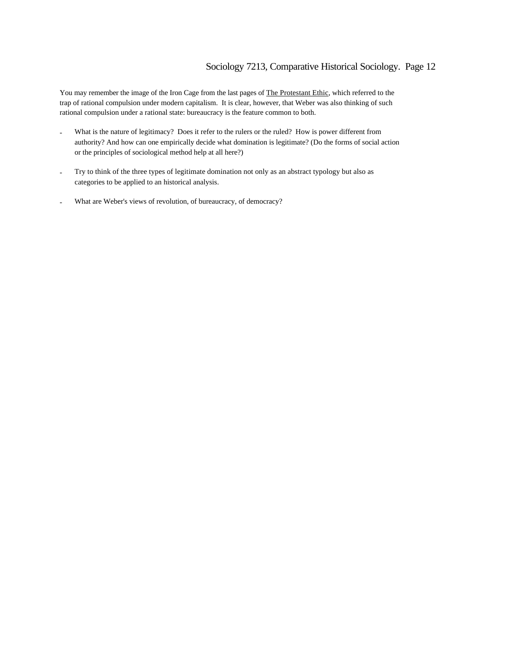You may remember the image of the Iron Cage from the last pages of The Protestant Ethic, which referred to the trap of rational compulsion under modern capitalism. It is clear, however, that Weber was also thinking of such rational compulsion under a rational state: bureaucracy is the feature common to both.

- What is the nature of legitimacy? Does it refer to the rulers or the ruled? How is power different from authority? And how can one empirically decide what domination is legitimate? (Do the forms of social action or the principles of sociological method help at all here?)
- Try to think of the three types of legitimate domination not only as an abstract typology but also as categories to be applied to an historical analysis.
- What are Weber's views of revolution, of bureaucracy, of democracy?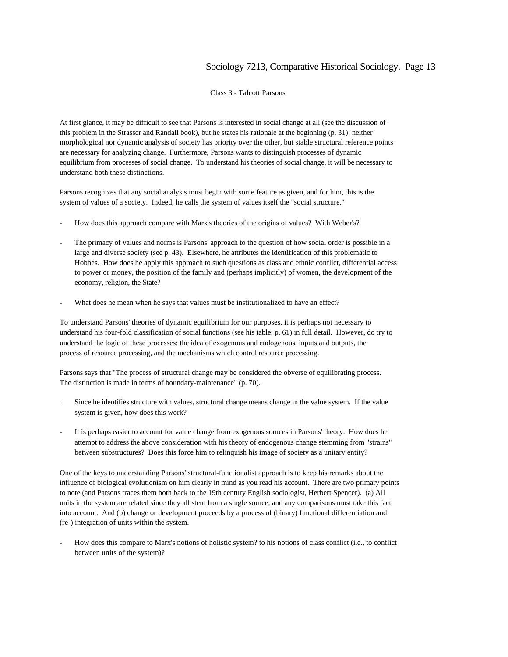Class 3 - Talcott Parsons

At first glance, it may be difficult to see that Parsons is interested in social change at all (see the discussion of this problem in the Strasser and Randall book), but he states his rationale at the beginning (p. 31): neither morphological nor dynamic analysis of society has priority over the other, but stable structural reference points are necessary for analyzing change. Furthermore, Parsons wants to distinguish processes of dynamic equilibrium from processes of social change. To understand his theories of social change, it will be necessary to understand both these distinctions.

Parsons recognizes that any social analysis must begin with some feature as given, and for him, this is the system of values of a society. Indeed, he calls the system of values itself the "social structure."

- How does this approach compare with Marx's theories of the origins of values? With Weber's?
- The primacy of values and norms is Parsons' approach to the question of how social order is possible in a large and diverse society (see p. 43). Elsewhere, he attributes the identification of this problematic to Hobbes. How does he apply this approach to such questions as class and ethnic conflict, differential access to power or money, the position of the family and (perhaps implicitly) of women, the development of the economy, religion, the State?
- What does he mean when he says that values must be institutionalized to have an effect?

To understand Parsons' theories of dynamic equilibrium for our purposes, it is perhaps not necessary to understand his four-fold classification of social functions (see his table, p. 61) in full detail. However, do try to understand the logic of these processes: the idea of exogenous and endogenous, inputs and outputs, the process of resource processing, and the mechanisms which control resource processing.

Parsons says that "The process of structural change may be considered the obverse of equilibrating process. The distinction is made in terms of boundary-maintenance" (p. 70).

- Since he identifies structure with values, structural change means change in the value system. If the value system is given, how does this work?
- It is perhaps easier to account for value change from exogenous sources in Parsons' theory. How does he attempt to address the above consideration with his theory of endogenous change stemming from "strains" between substructures? Does this force him to relinquish his image of society as a unitary entity?

One of the keys to understanding Parsons' structural-functionalist approach is to keep his remarks about the influence of biological evolutionism on him clearly in mind as you read his account. There are two primary points to note (and Parsons traces them both back to the 19th century English sociologist, Herbert Spencer). (a) All units in the system are related since they all stem from a single source, and any comparisons must take this fact into account. And (b) change or development proceeds by a process of (binary) functional differentiation and (re-) integration of units within the system.

How does this compare to Marx's notions of holistic system? to his notions of class conflict (i.e., to conflict between units of the system)?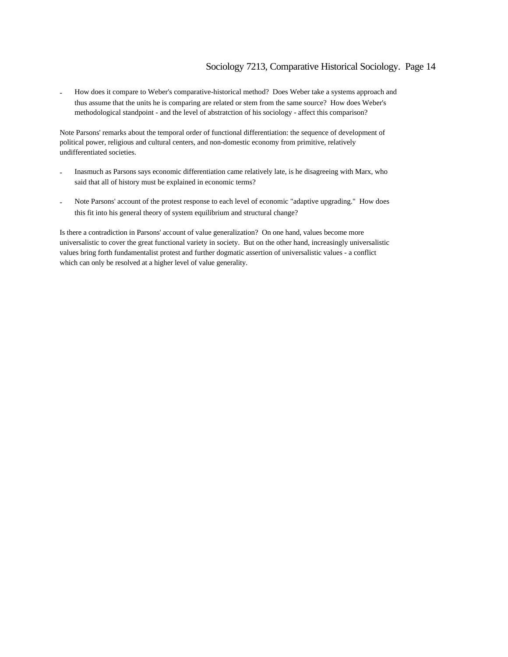- How does it compare to Weber's comparative-historical method? Does Weber take a systems approach and thus assume that the units he is comparing are related or stem from the same source? How does Weber's methodological standpoint - and the level of abstratction of his sociology - affect this comparison?

Note Parsons' remarks about the temporal order of functional differentiation: the sequence of development of political power, religious and cultural centers, and non-domestic economy from primitive, relatively undifferentiated societies.

- Inasmuch as Parsons says economic differentiation came relatively late, is he disagreeing with Marx, who said that all of history must be explained in economic terms?
- Note Parsons' account of the protest response to each level of economic "adaptive upgrading." How does this fit into his general theory of system equilibrium and structural change?

Is there a contradiction in Parsons' account of value generalization? On one hand, values become more universalistic to cover the great functional variety in society. But on the other hand, increasingly universalistic values bring forth fundamentalist protest and further dogmatic assertion of universalistic values - a conflict which can only be resolved at a higher level of value generality.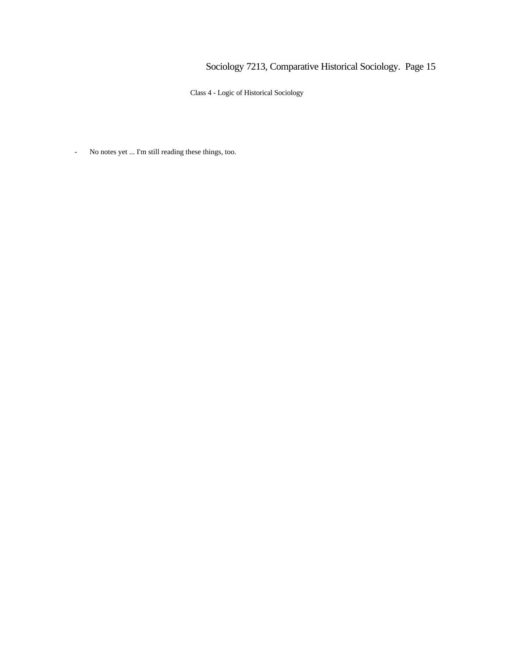Class 4 - Logic of Historical Sociology

- No notes yet ... I'm still reading these things, too.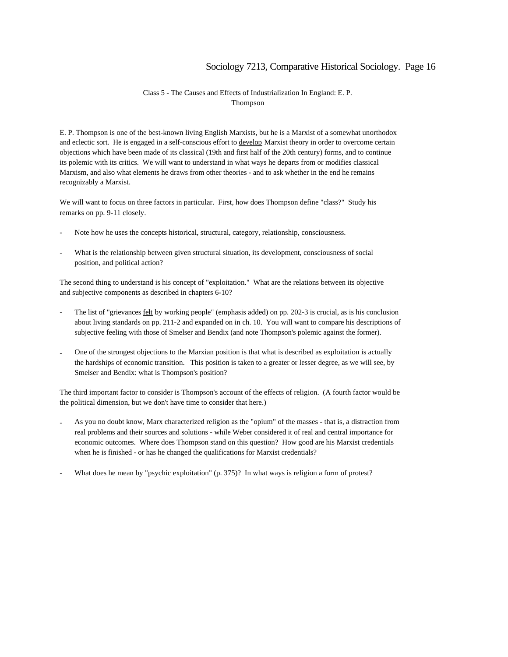#### Class 5 - The Causes and Effects of Industrialization In England: E. P. Thompson

E. P. Thompson is one of the best-known living English Marxists, but he is a Marxist of a somewhat unorthodox and eclectic sort. He is engaged in a self-conscious effort to develop Marxist theory in order to overcome certain objections which have been made of its classical (19th and first half of the 20th century) forms, and to continue its polemic with its critics. We will want to understand in what ways he departs from or modifies classical Marxism, and also what elements he draws from other theories - and to ask whether in the end he remains recognizably a Marxist.

We will want to focus on three factors in particular. First, how does Thompson define "class?" Study his remarks on pp. 9-11 closely.

- Note how he uses the concepts historical, structural, category, relationship, consciousness.
- What is the relationship between given structural situation, its development, consciousness of social position, and political action?

The second thing to understand is his concept of "exploitation." What are the relations between its objective and subjective components as described in chapters 6-10?

- The list of "grievances felt by working people" (emphasis added) on pp. 202-3 is crucial, as is his conclusion about living standards on pp. 211-2 and expanded on in ch. 10. You will want to compare his descriptions of subjective feeling with those of Smelser and Bendix (and note Thompson's polemic against the former).
- One of the strongest objections to the Marxian position is that what is described as exploitation is actually the hardships of economic transition. This position is taken to a greater or lesser degree, as we will see, by Smelser and Bendix: what is Thompson's position?

The third important factor to consider is Thompson's account of the effects of religion. (A fourth factor would be the political dimension, but we don't have time to consider that here.)

- As you no doubt know, Marx characterized religion as the "opium" of the masses that is, a distraction from real problems and their sources and solutions - while Weber considered it of real and central importance for economic outcomes. Where does Thompson stand on this question? How good are his Marxist credentials when he is finished - or has he changed the qualifications for Marxist credentials?
- What does he mean by "psychic exploitation" (p. 375)? In what ways is religion a form of protest?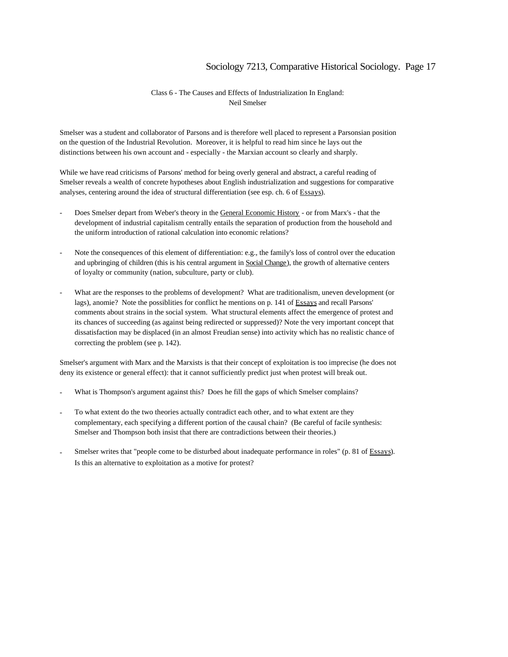#### Class 6 - The Causes and Effects of Industrialization In England: Neil Smelser

Smelser was a student and collaborator of Parsons and is therefore well placed to represent a Parsonsian position on the question of the Industrial Revolution. Moreover, it is helpful to read him since he lays out the distinctions between his own account and - especially - the Marxian account so clearly and sharply.

While we have read criticisms of Parsons' method for being overly general and abstract, a careful reading of Smelser reveals a wealth of concrete hypotheses about English industrialization and suggestions for comparative analyses, centering around the idea of structural differentiation (see esp. ch. 6 of Essays).

- Does Smelser depart from Weber's theory in the General Economic History or from Marx's that the development of industrial capitalism centrally entails the separation of production from the household and the uniform introduction of rational calculation into economic relations?
- Note the consequences of this element of differentiation: e.g., the family's loss of control over the education and upbringing of children (this is his central argument in Social Change), the growth of alternative centers of loyalty or community (nation, subculture, party or club).
- What are the responses to the problems of development? What are traditionalism, uneven development (or lags), anomie? Note the possiblities for conflict he mentions on p. 141 of Essays and recall Parsons' comments about strains in the social system. What structural elements affect the emergence of protest and its chances of succeeding (as against being redirected or suppressed)? Note the very important concept that dissatisfaction may be displaced (in an almost Freudian sense) into activity which has no realistic chance of correcting the problem (see p. 142).

Smelser's argument with Marx and the Marxists is that their concept of exploitation is too imprecise (he does not deny its existence or general effect): that it cannot sufficiently predict just when protest will break out.

- What is Thompson's argument against this? Does he fill the gaps of which Smelser complains?
- To what extent do the two theories actually contradict each other, and to what extent are they complementary, each specifying a different portion of the causal chain? (Be careful of facile synthesis: Smelser and Thompson both insist that there are contradictions between their theories.)
- Smelser writes that "people come to be disturbed about inadequate performance in roles" (p. 81 of Essays). Is this an alternative to exploitation as a motive for protest?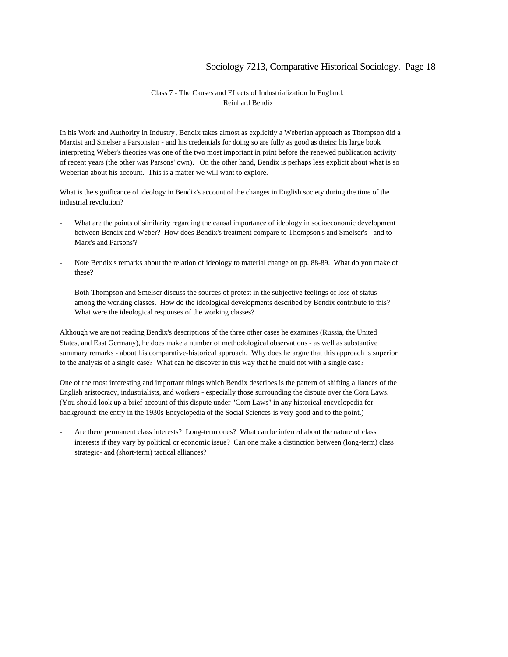#### Class 7 - The Causes and Effects of Industrialization In England: Reinhard Bendix

In his Work and Authority in Industry, Bendix takes almost as explicitly a Weberian approach as Thompson did a Marxist and Smelser a Parsonsian - and his credentials for doing so are fully as good as theirs: his large book interpreting Weber's theories was one of the two most important in print before the renewed publication activity of recent years (the other was Parsons' own). On the other hand, Bendix is perhaps less explicit about what is so Weberian about his account. This is a matter we will want to explore.

What is the significance of ideology in Bendix's account of the changes in English society during the time of the industrial revolution?

- What are the points of similarity regarding the causal importance of ideology in socioeconomic development between Bendix and Weber? How does Bendix's treatment compare to Thompson's and Smelser's - and to Marx's and Parsons'?
- Note Bendix's remarks about the relation of ideology to material change on pp. 88-89. What do you make of these?
- Both Thompson and Smelser discuss the sources of protest in the subjective feelings of loss of status among the working classes. How do the ideological developments described by Bendix contribute to this? What were the ideological responses of the working classes?

Although we are not reading Bendix's descriptions of the three other cases he examines (Russia, the United States, and East Germany), he does make a number of methodological observations - as well as substantive summary remarks - about his comparative-historical approach. Why does he argue that this approach is superior to the analysis of a single case? What can he discover in this way that he could not with a single case?

One of the most interesting and important things which Bendix describes is the pattern of shifting alliances of the English aristocracy, industrialists, and workers - especially those surrounding the dispute over the Corn Laws. (You should look up a brief account of this dispute under "Corn Laws" in any historical encyclopedia for background: the entry in the 1930s Encyclopedia of the Social Sciences is very good and to the point.)

Are there permanent class interests? Long-term ones? What can be inferred about the nature of class interests if they vary by political or economic issue? Can one make a distinction between (long-term) class strategic- and (short-term) tactical alliances?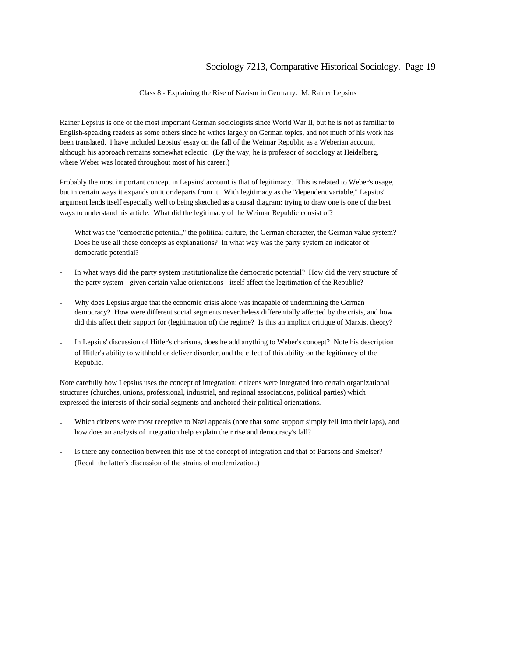Class 8 - Explaining the Rise of Nazism in Germany: M. Rainer Lepsius

Rainer Lepsius is one of the most important German sociologists since World War II, but he is not as familiar to English-speaking readers as some others since he writes largely on German topics, and not much of his work has been translated. I have included Lepsius' essay on the fall of the Weimar Republic as a Weberian account, although his approach remains somewhat eclectic. (By the way, he is professor of sociology at Heidelberg, where Weber was located throughout most of his career.)

Probably the most important concept in Lepsius' account is that of legitimacy. This is related to Weber's usage, but in certain ways it expands on it or departs from it. With legitimacy as the "dependent variable," Lepsius' argument lends itself especially well to being sketched as a causal diagram: trying to draw one is one of the best ways to understand his article. What did the legitimacy of the Weimar Republic consist of?

- What was the "democratic potential," the political culture, the German character, the German value system? Does he use all these concepts as explanations? In what way was the party system an indicator of democratic potential?
- In what ways did the party system institutionalize the democratic potential? How did the very structure of the party system - given certain value orientations - itself affect the legitimation of the Republic?
- Why does Lepsius argue that the economic crisis alone was incapable of undermining the German democracy? How were different social segments nevertheless differentially affected by the crisis, and how did this affect their support for (legitimation of) the regime? Is this an implicit critique of Marxist theory?
- In Lepsius' discussion of Hitler's charisma, does he add anything to Weber's concept? Note his description of Hitler's ability to withhold or deliver disorder, and the effect of this ability on the legitimacy of the Republic.

Note carefully how Lepsius uses the concept of integration: citizens were integrated into certain organizational structures (churches, unions, professional, industrial, and regional associations, political parties) which expressed the interests of their social segments and anchored their political orientations.

- Which citizens were most receptive to Nazi appeals (note that some support simply fell into their laps), and how does an analysis of integration help explain their rise and democracy's fall?
- Is there any connection between this use of the concept of integration and that of Parsons and Smelser? (Recall the latter's discussion of the strains of modernization.)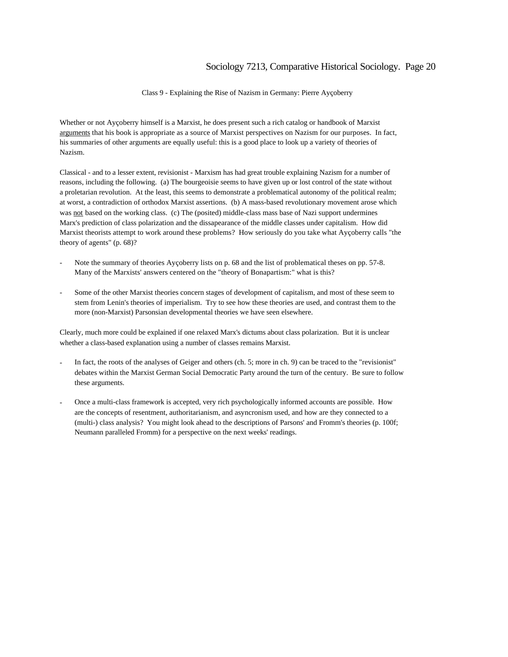Class 9 - Explaining the Rise of Nazism in Germany: Pierre Ayçoberry

Whether or not Ayçoberry himself is a Marxist, he does present such a rich catalog or handbook of Marxist arguments that his book is appropriate as a source of Marxist perspectives on Nazism for our purposes. In fact, his summaries of other arguments are equally useful: this is a good place to look up a variety of theories of Nazism.

Classical - and to a lesser extent, revisionist - Marxism has had great trouble explaining Nazism for a number of reasons, including the following. (a) The bourgeoisie seems to have given up or lost control of the state without a proletarian revolution. At the least, this seems to demonstrate a problematical autonomy of the political realm; at worst, a contradiction of orthodox Marxist assertions. (b) A mass-based revolutionary movement arose which was not based on the working class. (c) The (posited) middle-class mass base of Nazi support undermines Marx's prediction of class polarization and the dissapearance of the middle classes under capitalism. How did Marxist theorists attempt to work around these problems? How seriously do you take what Ayçoberry calls "the theory of agents" (p. 68)?

- Note the summary of theories Ayçoberry lists on p. 68 and the list of problematical theses on pp. 57-8. Many of the Marxists' answers centered on the "theory of Bonapartism:" what is this?
- Some of the other Marxist theories concern stages of development of capitalism, and most of these seem to stem from Lenin's theories of imperialism. Try to see how these theories are used, and contrast them to the more (non-Marxist) Parsonsian developmental theories we have seen elsewhere.

Clearly, much more could be explained if one relaxed Marx's dictums about class polarization. But it is unclear whether a class-based explanation using a number of classes remains Marxist.

- In fact, the roots of the analyses of Geiger and others (ch. 5; more in ch. 9) can be traced to the "revisionist" debates within the Marxist German Social Democratic Party around the turn of the century. Be sure to follow these arguments.
- Once a multi-class framework is accepted, very rich psychologically informed accounts are possible. How are the concepts of resentment, authoritarianism, and asyncronism used, and how are they connected to a (multi-) class analysis? You might look ahead to the descriptions of Parsons' and Fromm's theories (p. 100f; Neumann paralleled Fromm) for a perspective on the next weeks' readings.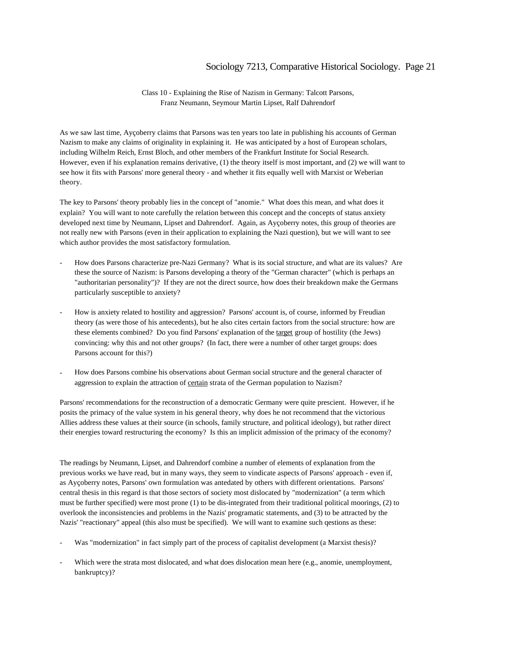Class 10 - Explaining the Rise of Nazism in Germany: Talcott Parsons, Franz Neumann, Seymour Martin Lipset, Ralf Dahrendorf

As we saw last time, Ayçoberry claims that Parsons was ten years too late in publishing his accounts of German Nazism to make any claims of originality in explaining it. He was anticipated by a host of European scholars, including Wilhelm Reich, Ernst Bloch, and other members of the Frankfurt Institute for Social Research. However, even if his explanation remains derivative, (1) the theory itself is most important, and (2) we will want to see how it fits with Parsons' more general theory - and whether it fits equally well with Marxist or Weberian theory.

The key to Parsons' theory probably lies in the concept of "anomie." What does this mean, and what does it explain? You will want to note carefully the relation between this concept and the concepts of status anxiety developed next time by Neumann, Lipset and Dahrendorf. Again, as Ayçoberry notes, this group of theories are not really new with Parsons (even in their application to explaining the Nazi question), but we will want to see which author provides the most satisfactory formulation.

- How does Parsons characterize pre-Nazi Germany? What is its social structure, and what are its values? Are these the source of Nazism: is Parsons developing a theory of the "German character" (which is perhaps an "authoritarian personality")? If they are not the direct source, how does their breakdown make the Germans particularly susceptible to anxiety?
- How is anxiety related to hostility and aggression? Parsons' account is, of course, informed by Freudian theory (as were those of his antecedents), but he also cites certain factors from the social structure: how are these elements combined? Do you find Parsons' explanation of the target group of hostility (the Jews) convincing: why this and not other groups? (In fact, there were a number of other target groups: does Parsons account for this?)
- How does Parsons combine his observations about German social structure and the general character of aggression to explain the attraction of certain strata of the German population to Nazism?

Parsons' recommendations for the reconstruction of a democratic Germany were quite prescient. However, if he posits the primacy of the value system in his general theory, why does he not recommend that the victorious Allies address these values at their source (in schools, family structure, and political ideology), but rather direct their energies toward restructuring the economy? Is this an implicit admission of the primacy of the economy?

The readings by Neumann, Lipset, and Dahrendorf combine a number of elements of explanation from the previous works we have read, but in many ways, they seem to vindicate aspects of Parsons' approach - even if, as Ayçoberry notes, Parsons' own formulation was antedated by others with different orientations. Parsons' central thesis in this regard is that those sectors of society most dislocated by "modernization" (a term which must be further specified) were most prone (1) to be dis-integrated from their traditional political moorings, (2) to overlook the inconsistencies and problems in the Nazis' programatic statements, and (3) to be attracted by the Nazis' "reactionary" appeal (this also must be specified). We will want to examine such qestions as these:

- Was "modernization" in fact simply part of the process of capitalist development (a Marxist thesis)?
- Which were the strata most dislocated, and what does dislocation mean here (e.g., anomie, unemployment, bankruptcy)?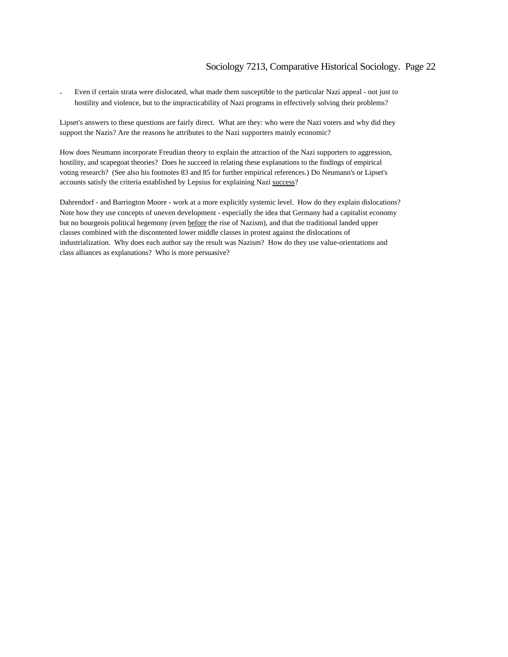- Even if certain strata were dislocated, what made them susceptible to the particular Nazi appeal - not just to hostility and violence, but to the impracticability of Nazi programs in effectively solving their problems?

Lipset's answers to these questions are fairly direct. What are they: who were the Nazi voters and why did they support the Nazis? Are the reasons he attributes to the Nazi supporters mainly economic?

How does Neumann incorporate Freudian theory to explain the attraction of the Nazi supporters to aggression, hostility, and scapegoat theories? Does he succeed in relating these explanations to the findings of empirical voting research? (See also his footnotes 83 and 85 for further empirical references.) Do Neumann's or Lipset's accounts satisfy the criteria established by Lepsius for explaining Nazi success?

Dahrendorf - and Barrington Moore - work at a more explicitly systemic level. How do they explain dislocations? Note how they use concepts of uneven development - especially the idea that Germany had a capitalist economy but no bourgeois political hegemony (even before the rise of Nazism), and that the traditional landed upper classes combined with the discontented lower middle classes in protest against the dislocations of industrialization. Why does each author say the result was Nazism? How do they use value-orientations and class alliances as explanations? Who is more persuasive?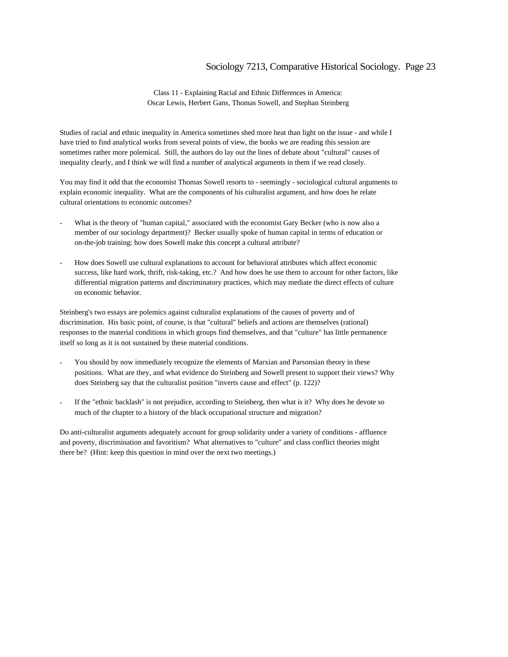Class 11 - Explaining Racial and Ethnic Differences in America: Oscar Lewis, Herbert Gans, Thomas Sowell, and Stephan Steinberg

Studies of racial and ethnic inequality in America sometimes shed more heat than light on the issue - and while I have tried to find analytical works from several points of view, the books we are reading this session are sometimes rather more polemical. Still, the authors do lay out the lines of debate about "cultural" causes of inequality clearly, and I think we will find a number of analytical arguments in them if we read closely.

You may find it odd that the economist Thomas Sowell resorts to - seemingly - sociological cultural arguments to explain economic inequality. What are the components of his culturalist argument, and how does he relate cultural orientations to economic outcomes?

- What is the theory of "human capital," associated with the economist Gary Becker (who is now also a member of our sociology department)? Becker usually spoke of human capital in terms of education or on-the-job training: how does Sowell make this concept a cultural attribute?
- How does Sowell use cultural explanations to account for behavioral attributes which affect economic success, like hard work, thrift, risk-taking, etc.? And how does he use them to account for other factors, like differential migration patterns and discriminatory practices, which may mediate the direct effects of culture on economic behavior.

Steinberg's two essays are polemics against culturalist explanations of the causes of poverty and of discrimination. His basic point, of course, is that "cultural" beliefs and actions are themselves (rational) responses to the material conditions in which groups find themselves, and that "culture" has little permanence itself so long as it is not sustained by these material conditions.

- You should by now immediately recognize the elements of Marxian and Parsonsian theory in these positions. What are they, and what evidence do Steinberg and Sowell present to support their views? Why does Steinberg say that the culturalist position "inverts cause and effect" (p. 122)?
- If the "ethnic backlash" is not prejudice, according to Steinberg, then what is it? Why does he devote so much of the chapter to a history of the black occupational structure and migration?

Do anti-culturalist arguments adequately account for group solidarity under a variety of conditions - affluence and poverty, discrimination and favoritism? What alternatives to "culture" and class conflict theories might there be? (Hint: keep this question in mind over the next two meetings.)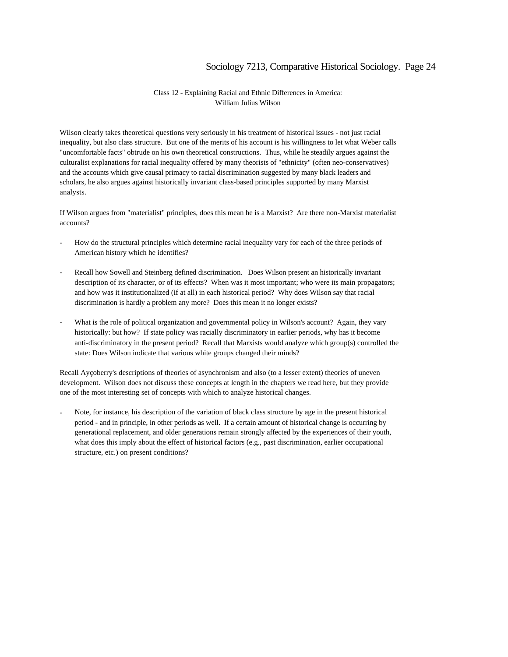#### Class 12 - Explaining Racial and Ethnic Differences in America: William Julius Wilson

Wilson clearly takes theoretical questions very seriously in his treatment of historical issues - not just racial inequality, but also class structure. But one of the merits of his account is his willingness to let what Weber calls "uncomfortable facts" obtrude on his own theoretical constructions. Thus, while he steadily argues against the culturalist explanations for racial inequality offered by many theorists of "ethnicity" (often neo-conservatives) and the accounts which give causal primacy to racial discrimination suggested by many black leaders and scholars, he also argues against historically invariant class-based principles supported by many Marxist analysts.

If Wilson argues from "materialist" principles, does this mean he is a Marxist? Are there non-Marxist materialist accounts?

- How do the structural principles which determine racial inequality vary for each of the three periods of American history which he identifies?
- Recall how Sowell and Steinberg defined discrimination. Does Wilson present an historically invariant description of its character, or of its effects? When was it most important; who were its main propagators; and how was it institutionalized (if at all) in each historical period? Why does Wilson say that racial discrimination is hardly a problem any more? Does this mean it no longer exists?
- What is the role of political organization and governmental policy in Wilson's account? Again, they vary historically: but how? If state policy was racially discriminatory in earlier periods, why has it become anti-discriminatory in the present period? Recall that Marxists would analyze which group(s) controlled the state: Does Wilson indicate that various white groups changed their minds?

Recall Ayçoberry's descriptions of theories of asynchronism and also (to a lesser extent) theories of uneven development. Wilson does not discuss these concepts at length in the chapters we read here, but they provide one of the most interesting set of concepts with which to analyze historical changes.

Note, for instance, his description of the variation of black class structure by age in the present historical period - and in principle, in other periods as well. If a certain amount of historical change is occurring by generational replacement, and older generations remain strongly affected by the experiences of their youth, what does this imply about the effect of historical factors (e.g., past discrimination, earlier occupational structure, etc.) on present conditions?